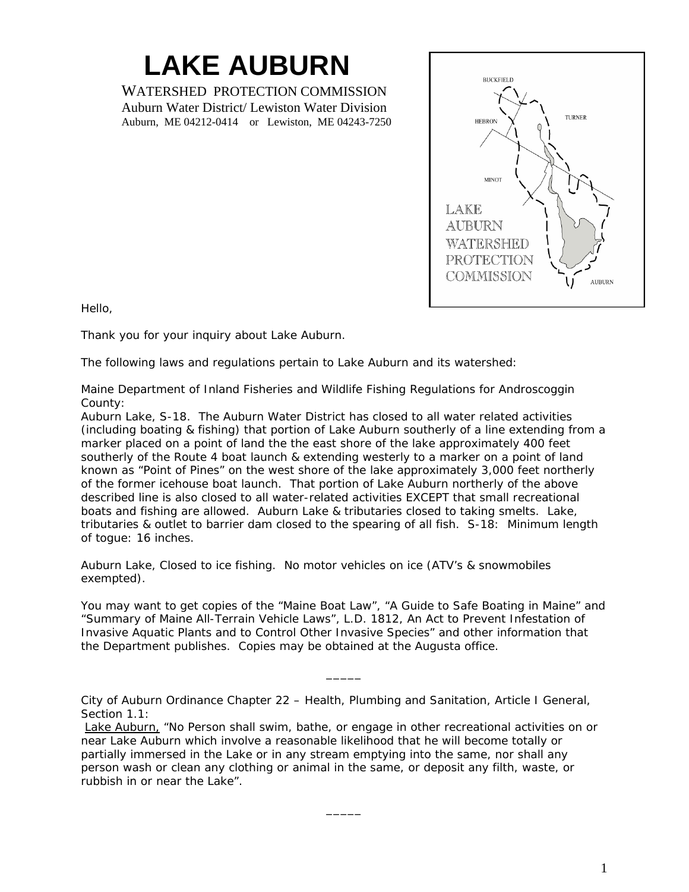## **LAKE AUBURN**

WATERSHED PROTECTION COMMISSION Auburn Water District/ Lewiston Water Division Auburn, ME 04212-0414 or Lewiston, ME 04243-7250



Hello,

Thank you for your inquiry about Lake Auburn.

The following laws and regulations pertain to Lake Auburn and its watershed:

## *Maine Department of Inland Fisheries and Wildlife Fishing Regulations for Androscoggin County:*

Auburn Lake, S-18. The Auburn Water District has closed to all water related activities (including boating & fishing) that portion of Lake Auburn southerly of a line extending from a marker placed on a point of land the the east shore of the lake approximately 400 feet southerly of the Route 4 boat launch & extending westerly to a marker on a point of land known as "Point of Pines" on the west shore of the lake approximately 3,000 feet northerly of the former icehouse boat launch. That portion of Lake Auburn northerly of the above described line is also closed to all water-related activities EXCEPT that small recreational boats and fishing are allowed. Auburn Lake & tributaries closed to taking smelts. Lake, tributaries & outlet to barrier dam closed to the spearing of all fish. S-18: Minimum length of togue: 16 inches.

Auburn Lake, Closed to ice fishing. No motor vehicles on ice (ATV's & snowmobiles exempted).

You may want to get copies of the "Maine Boat Law", "A Guide to Safe Boating in Maine" and "Summary of Maine All-Terrain Vehicle Laws", L.D. 1812, An Act to Prevent Infestation of Invasive Aquatic Plants and to Control Other Invasive Species" and other information that the Department publishes. Copies may be obtained at the Augusta office.

 $\overline{\phantom{a}}$ 

*City of Auburn Ordinance Chapter 22 – Health, Plumbing and Sanitation, Article I General, Section 1.1:*

Lake Auburn, "No Person shall swim, bathe, or engage in other recreational activities on or near Lake Auburn which involve a reasonable likelihood that he will become totally or partially immersed in the Lake or in any stream emptying into the same, nor shall any person wash or clean any clothing or animal in the same, or deposit any filth, waste, or rubbish in or near the Lake".

 $\overline{\phantom{a}}$